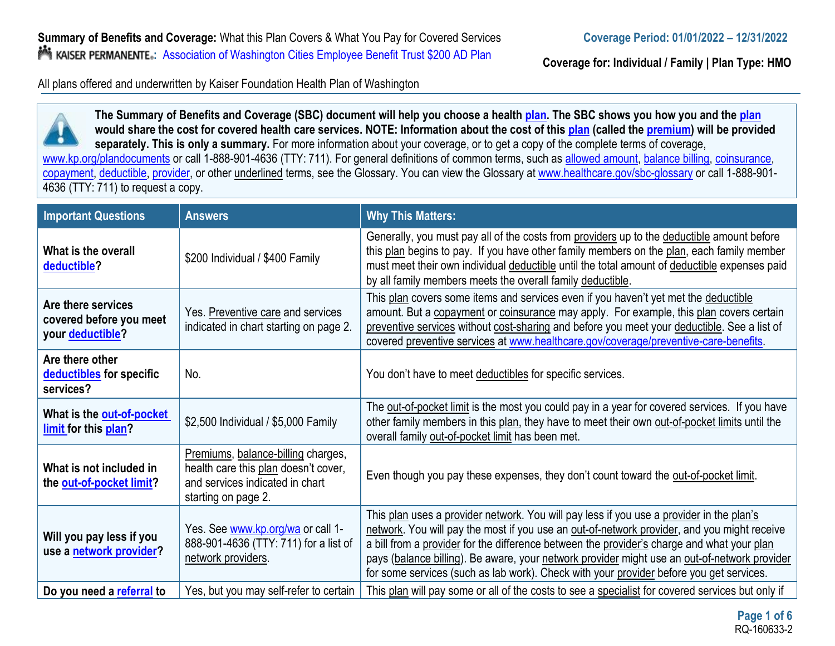**Coverage for: Individual / Family | Plan Type: HMO**

All plans offered and underwritten by Kaiser Foundation Health Plan of Washington



**The Summary of Benefits and Coverage (SBC) document will help you choose a health [plan.](https://www.healthcare.gov/sbc-glossary/#plan) The SBC shows you how you and the [plan](https://www.healthcare.gov/sbc-glossary/#plan) would share the cost for covered health care services. NOTE: Information about the cost of this [plan](https://www.healthcare.gov/sbc-glossary/#plan) (called the [premium\) w](https://www.healthcare.gov/sbc-glossary/#premium)ill be provided separately. This is only a summary.** For more information about your coverage, or to get a copy of the complete terms of coverage, [www.kp.org/plandocuments](http://www.kp.org/plandocuments) or call 1-888-901-4636 (TTY: 711). For general definitions of common terms, such as [allowed amount,](https://www.healthcare.gov/sbc-glossary/#allowed-amount) [balance billing,](https://www.healthcare.gov/sbc-glossary/#balance-billing) [coinsurance,](https://www.healthcare.gov/sbc-glossary/#coinsurance) [copayment,](https://www.healthcare.gov/sbc-glossary/#copayment) [deductible,](https://www.healthcare.gov/sbc-glossary/#deductible) [provider,](https://www.healthcare.gov/sbc-glossary/#provider) or other underlined terms, see the Glossary. You can view the Glossary at [www.healthcare.gov/sbc-glossary](http://www.healthcare.gov/sbc-glossary) or call 1-888-901- 4636 (TTY: 711) to request a copy.

| <b>Important Questions</b>                                        | <b>Answers</b>                                                                                                                       | <b>Why This Matters:</b>                                                                                                                                                                                                                                                                                                                                                                                                                                                         |
|-------------------------------------------------------------------|--------------------------------------------------------------------------------------------------------------------------------------|----------------------------------------------------------------------------------------------------------------------------------------------------------------------------------------------------------------------------------------------------------------------------------------------------------------------------------------------------------------------------------------------------------------------------------------------------------------------------------|
| What is the overall<br>deductible?                                | \$200 Individual / \$400 Family                                                                                                      | Generally, you must pay all of the costs from providers up to the deductible amount before<br>this plan begins to pay. If you have other family members on the plan, each family member<br>must meet their own individual deductible until the total amount of deductible expenses paid<br>by all family members meets the overall family deductible.                                                                                                                            |
| Are there services<br>covered before you meet<br>your deductible? | Yes. Preventive care and services<br>indicated in chart starting on page 2.                                                          | This plan covers some items and services even if you haven't yet met the deductible<br>amount. But a copayment or coinsurance may apply. For example, this plan covers certain<br>preventive services without cost-sharing and before you meet your deductible. See a list of<br>covered preventive services at www.healthcare.gov/coverage/preventive-care-benefits.                                                                                                            |
| Are there other<br>deductibles for specific<br>services?          | No.                                                                                                                                  | You don't have to meet deductibles for specific services.                                                                                                                                                                                                                                                                                                                                                                                                                        |
| What is the out-of-pocket<br>limit for this plan?                 | \$2,500 Individual / \$5,000 Family                                                                                                  | The out-of-pocket limit is the most you could pay in a year for covered services. If you have<br>other family members in this plan, they have to meet their own out-of-pocket limits until the<br>overall family out-of-pocket limit has been met.                                                                                                                                                                                                                               |
| What is not included in<br>the out-of-pocket limit?               | Premiums, balance-billing charges,<br>health care this plan doesn't cover,<br>and services indicated in chart<br>starting on page 2. | Even though you pay these expenses, they don't count toward the out-of-pocket limit.                                                                                                                                                                                                                                                                                                                                                                                             |
| Will you pay less if you<br>use a network provider?               | Yes. See www.kp.org/wa or call 1-<br>888-901-4636 (TTY: 711) for a list of<br>network providers.                                     | This plan uses a provider network. You will pay less if you use a provider in the plan's<br>network. You will pay the most if you use an out-of-network provider, and you might receive<br>a bill from a provider for the difference between the provider's charge and what your plan<br>pays (balance billing). Be aware, your network provider might use an out-of-network provider<br>for some services (such as lab work). Check with your provider before you get services. |
| Do you need a referral to                                         | Yes, but you may self-refer to certain                                                                                               | This plan will pay some or all of the costs to see a specialist for covered services but only if                                                                                                                                                                                                                                                                                                                                                                                 |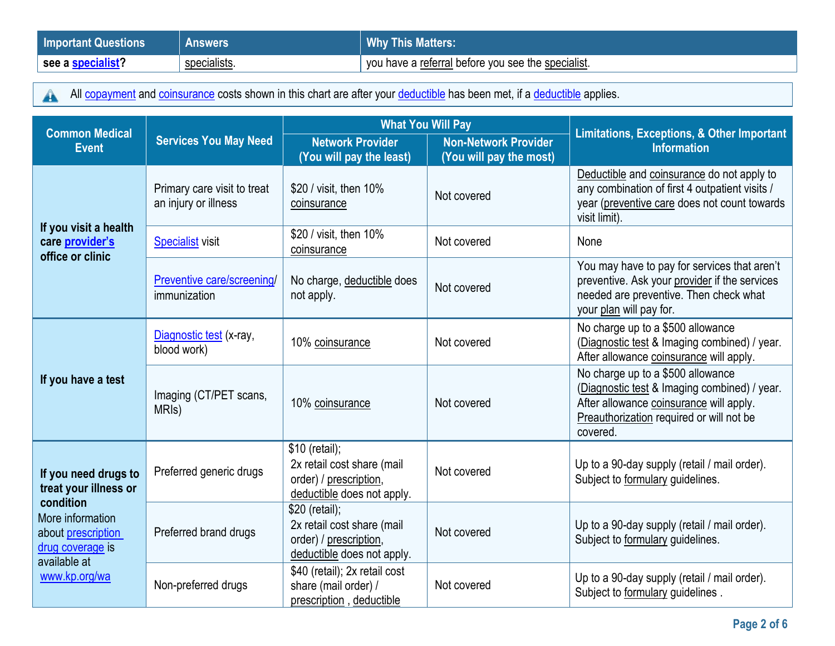| <b>Important Questions</b> | <b>Answers</b> | <b>Why This Matters:</b>                                |
|----------------------------|----------------|---------------------------------------------------------|
| see a specialist?          | specialists.   | $_1$ you have a referral before you see the specialist. |

All copayment [and co](https://www.healthcare.gov/sbc-glossary/#copayment)ins[urance](https://www.healthcare.gov/sbc-glossary/#coinsurance) costs shown in this chart are after your deductible [has be](https://www.healthcare.gov/sbc-glossary/#deductible)en met, if a deductible [applie](https://www.healthcare.gov/sbc-glossary/#deductible)s.  $\triangle$ 

| <b>Common Medical</b>                                                                       | <b>What You Will Pay</b>                            |                                                                                                      | <b>Limitations, Exceptions, &amp; Other Important</b>  |                                                                                                                                                                                      |  |
|---------------------------------------------------------------------------------------------|-----------------------------------------------------|------------------------------------------------------------------------------------------------------|--------------------------------------------------------|--------------------------------------------------------------------------------------------------------------------------------------------------------------------------------------|--|
| <b>Event</b>                                                                                | <b>Services You May Need</b>                        | <b>Network Provider</b><br>(You will pay the least)                                                  | <b>Non-Network Provider</b><br>(You will pay the most) | <b>Information</b>                                                                                                                                                                   |  |
|                                                                                             | Primary care visit to treat<br>an injury or illness | \$20 / visit, then 10%<br>coinsurance                                                                | Not covered                                            | Deductible and coinsurance do not apply to<br>any combination of first 4 outpatient visits /<br>year (preventive care does not count towards<br>visit limit).                        |  |
| If you visit a health<br>care provider's<br>office or clinic                                | <b>Specialist visit</b>                             | \$20 / visit, then 10%<br>coinsurance                                                                | Not covered                                            | None                                                                                                                                                                                 |  |
|                                                                                             | Preventive care/screening/<br>immunization          | No charge, deductible does<br>not apply.                                                             | Not covered                                            | You may have to pay for services that aren't<br>preventive. Ask your provider if the services<br>needed are preventive. Then check what<br>your plan will pay for.                   |  |
| If you have a test                                                                          | Diagnostic test (x-ray,<br>blood work)              | 10% coinsurance                                                                                      | Not covered                                            | No charge up to a \$500 allowance<br>(Diagnostic test & Imaging combined) / year.<br>After allowance coinsurance will apply.                                                         |  |
|                                                                                             | Imaging (CT/PET scans,<br>MRI <sub>s</sub> )        | 10% coinsurance                                                                                      | Not covered                                            | No charge up to a \$500 allowance<br>(Diagnostic test & Imaging combined) / year.<br>After allowance coinsurance will apply.<br>Preauthorization required or will not be<br>covered. |  |
| If you need drugs to<br>treat your illness or<br>condition                                  | Preferred generic drugs                             | \$10 (retail);<br>2x retail cost share (mail<br>order) / prescription,<br>deductible does not apply. | Not covered                                            | Up to a 90-day supply (retail / mail order).<br>Subject to formulary guidelines.                                                                                                     |  |
| More information<br>about prescription<br>drug coverage is<br>available at<br>www.kp.org/wa | Preferred brand drugs                               | \$20 (retail);<br>2x retail cost share (mail<br>order) / prescription,<br>deductible does not apply. | Not covered                                            | Up to a 90-day supply (retail / mail order).<br>Subject to formulary guidelines.                                                                                                     |  |
|                                                                                             | Non-preferred drugs                                 | \$40 (retail); 2x retail cost<br>share (mail order) /<br>prescription, deductible                    | Not covered                                            | Up to a 90-day supply (retail / mail order).<br>Subject to formulary guidelines.                                                                                                     |  |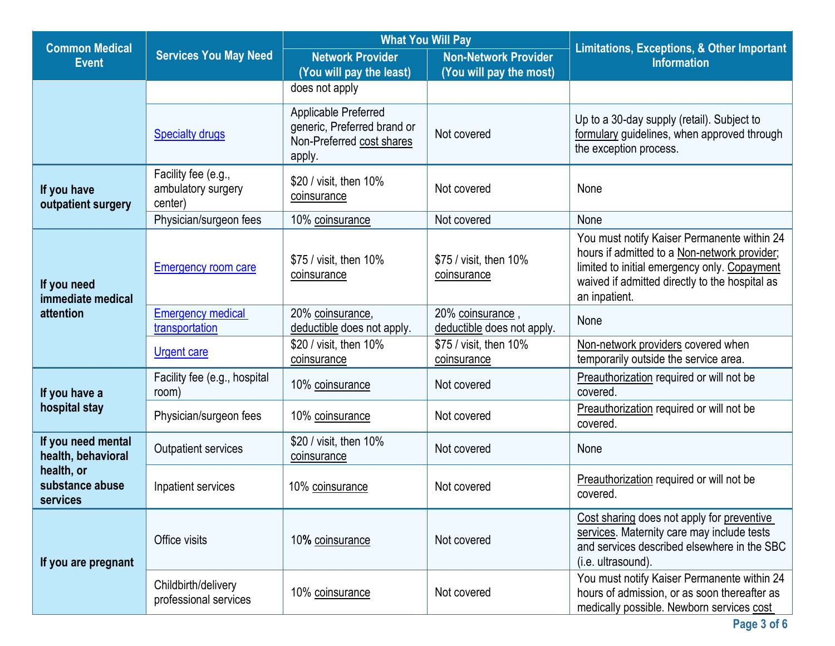| <b>Common Medical</b>                            |                                                      | <b>What You Will Pay</b>                                                                   |                                                        |                                                                                                                                                                                                                |  |
|--------------------------------------------------|------------------------------------------------------|--------------------------------------------------------------------------------------------|--------------------------------------------------------|----------------------------------------------------------------------------------------------------------------------------------------------------------------------------------------------------------------|--|
| <b>Event</b>                                     | <b>Services You May Need</b>                         | <b>Network Provider</b><br>(You will pay the least)                                        | <b>Non-Network Provider</b><br>(You will pay the most) | <b>Limitations, Exceptions, &amp; Other Important</b><br><b>Information</b>                                                                                                                                    |  |
|                                                  |                                                      | does not apply                                                                             |                                                        |                                                                                                                                                                                                                |  |
|                                                  | <b>Specialty drugs</b>                               | Applicable Preferred<br>generic, Preferred brand or<br>Non-Preferred cost shares<br>apply. | Not covered                                            | Up to a 30-day supply (retail). Subject to<br>formulary guidelines, when approved through<br>the exception process.                                                                                            |  |
| If you have<br>outpatient surgery                | Facility fee (e.g.,<br>ambulatory surgery<br>center) | \$20 / visit, then 10%<br>coinsurance                                                      | Not covered                                            | None                                                                                                                                                                                                           |  |
|                                                  | Physician/surgeon fees                               | 10% coinsurance                                                                            | Not covered                                            | None                                                                                                                                                                                                           |  |
| If you need<br>immediate medical                 | <b>Emergency room care</b>                           | \$75 / visit, then 10%<br>coinsurance                                                      | \$75 / visit, then 10%<br>coinsurance                  | You must notify Kaiser Permanente within 24<br>hours if admitted to a Non-network provider;<br>limited to initial emergency only. Copayment<br>waived if admitted directly to the hospital as<br>an inpatient. |  |
| attention                                        | <b>Emergency medical</b><br>transportation           | 20% coinsurance,<br>deductible does not apply.                                             | 20% coinsurance,<br>deductible does not apply.         | None                                                                                                                                                                                                           |  |
|                                                  | <b>Urgent care</b>                                   | \$20 / visit, then 10%<br>coinsurance                                                      | \$75 / visit, then 10%<br>coinsurance                  | Non-network providers covered when<br>temporarily outside the service area.                                                                                                                                    |  |
| If you have a                                    | Facility fee (e.g., hospital<br>room)                | 10% coinsurance                                                                            | Not covered                                            | Preauthorization required or will not be<br>covered.                                                                                                                                                           |  |
| hospital stay                                    | Physician/surgeon fees                               | 10% coinsurance                                                                            | Not covered                                            | Preauthorization required or will not be<br>covered.                                                                                                                                                           |  |
| If you need mental<br>health, behavioral         | Outpatient services                                  | \$20 / visit, then 10%<br>coinsurance                                                      | Not covered                                            | None                                                                                                                                                                                                           |  |
| health, or<br>substance abuse<br><b>services</b> | Inpatient services                                   | 10% coinsurance                                                                            | Not covered                                            | Preauthorization required or will not be<br>covered.                                                                                                                                                           |  |
| If you are pregnant                              | Office visits                                        | 10% coinsurance                                                                            | Not covered                                            | Cost sharing does not apply for preventive<br>services. Maternity care may include tests<br>and services described elsewhere in the SBC<br>(i.e. ultrasound).                                                  |  |
|                                                  | Childbirth/delivery<br>professional services         | 10% coinsurance                                                                            | Not covered                                            | You must notify Kaiser Permanente within 24<br>hours of admission, or as soon thereafter as<br>medically possible. Newborn services cost                                                                       |  |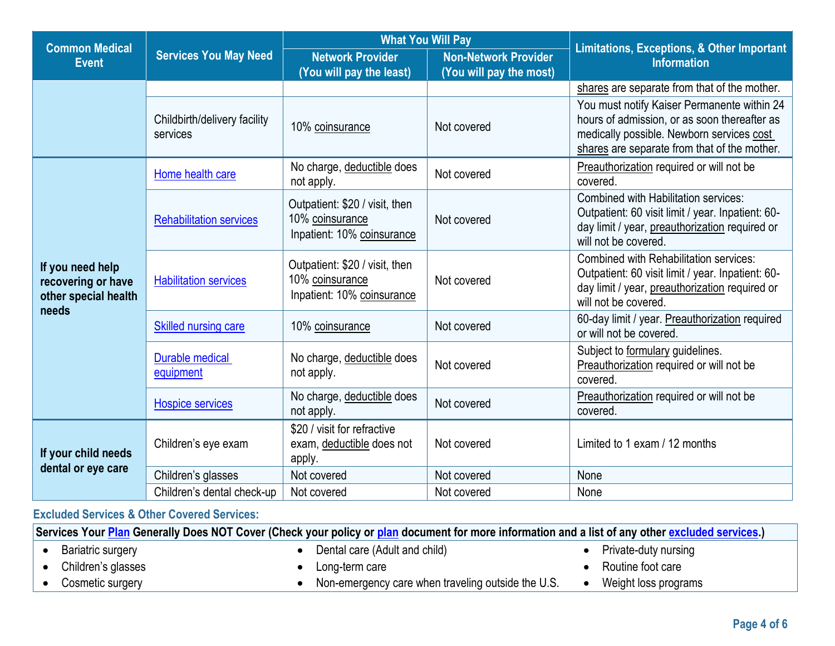| <b>Common Medical</b>                                          |                                                                     | <b>What You Will Pay</b>                                                        |                                                        |                                                                                                                                                                                          |  |
|----------------------------------------------------------------|---------------------------------------------------------------------|---------------------------------------------------------------------------------|--------------------------------------------------------|------------------------------------------------------------------------------------------------------------------------------------------------------------------------------------------|--|
| <b>Event</b>                                                   | <b>Services You May Need</b>                                        | <b>Network Provider</b><br>(You will pay the least)                             | <b>Non-Network Provider</b><br>(You will pay the most) | <b>Limitations, Exceptions, &amp; Other Important</b><br><b>Information</b>                                                                                                              |  |
|                                                                |                                                                     |                                                                                 |                                                        | shares are separate from that of the mother.                                                                                                                                             |  |
|                                                                | Childbirth/delivery facility<br>services                            | 10% coinsurance                                                                 | Not covered                                            | You must notify Kaiser Permanente within 24<br>hours of admission, or as soon thereafter as<br>medically possible. Newborn services cost<br>shares are separate from that of the mother. |  |
|                                                                | Home health care                                                    | No charge, deductible does<br>not apply.                                        | Not covered                                            | Preauthorization required or will not be<br>covered.                                                                                                                                     |  |
| If you need help<br>recovering or have<br>other special health | <b>Rehabilitation services</b>                                      | Outpatient: \$20 / visit, then<br>10% coinsurance<br>Inpatient: 10% coinsurance | Not covered                                            | <b>Combined with Habilitation services:</b><br>Outpatient: 60 visit limit / year. Inpatient: 60-<br>day limit / year, preauthorization required or<br>will not be covered.               |  |
|                                                                | <b>Habilitation services</b>                                        | Outpatient: \$20 / visit, then<br>10% coinsurance<br>Inpatient: 10% coinsurance | Not covered                                            | Combined with Rehabilitation services:<br>Outpatient: 60 visit limit / year. Inpatient: 60-<br>day limit / year, preauthorization required or<br>will not be covered.                    |  |
| needs                                                          | <b>Skilled nursing care</b>                                         | 10% coinsurance                                                                 | Not covered                                            | 60-day limit / year. Preauthorization required<br>or will not be covered.                                                                                                                |  |
|                                                                | <b>Durable medical</b><br>equipment                                 | No charge, deductible does<br>not apply.                                        | Not covered                                            | Subject to formulary guidelines.<br>Preauthorization required or will not be<br>covered.                                                                                                 |  |
|                                                                | No charge, deductible does<br><b>Hospice services</b><br>not apply. |                                                                                 | Not covered                                            | Preauthorization required or will not be<br>covered.                                                                                                                                     |  |
| If your child needs<br>dental or eye care                      | Children's eye exam                                                 | \$20 / visit for refractive<br>exam, deductible does not<br>apply.              | Not covered                                            | Limited to 1 exam / 12 months                                                                                                                                                            |  |
|                                                                | Children's glasses                                                  | Not covered                                                                     | Not covered                                            | None                                                                                                                                                                                     |  |
|                                                                | Children's dental check-up                                          | Not covered                                                                     | Not covered                                            | None                                                                                                                                                                                     |  |

# **Excluded Services & Other Covered Services:**

| Services Your Plan Generally Does NOT Cover (Check your policy or plan document for more information and a list of any other excluded services.) |  |                                                    |  |                      |
|--------------------------------------------------------------------------------------------------------------------------------------------------|--|----------------------------------------------------|--|----------------------|
| Bariatric surgery                                                                                                                                |  | Dental care (Adult and child)                      |  | Private-duty nursing |
| Children's glasses                                                                                                                               |  | Long-term care                                     |  | Routine foot care    |
| Cosmetic surgery                                                                                                                                 |  | Non-emergency care when traveling outside the U.S. |  | Weight loss programs |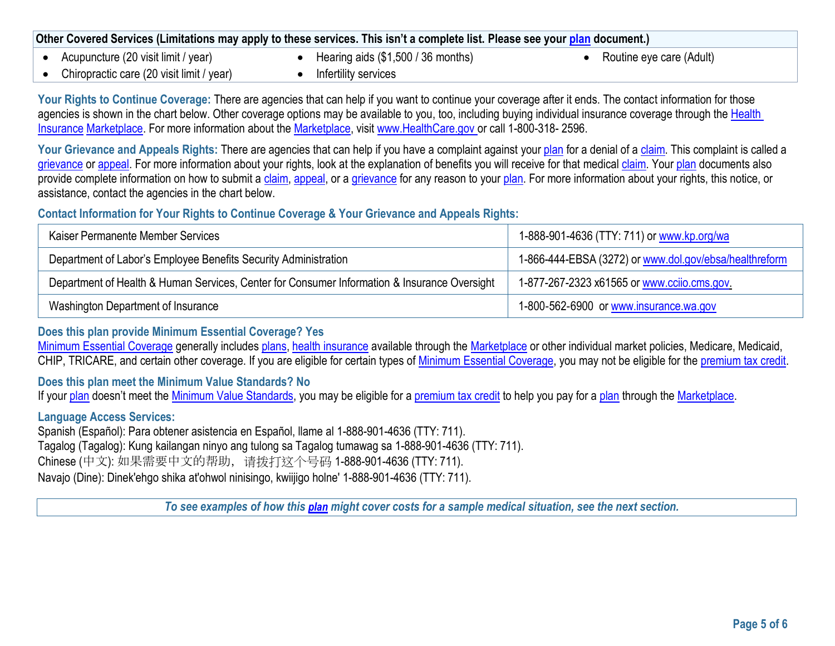|  |                                                                                                                                                                                                                                                                                                                                    |  |                                                                                                                                                                                                                                                                                                                                    | Other Covered Services (Limitations may apply to these services. This isn't a complete list. Please see your plan document.)                                                                                                                                                                                                                                                                                                                                                               |  |
|--|------------------------------------------------------------------------------------------------------------------------------------------------------------------------------------------------------------------------------------------------------------------------------------------------------------------------------------|--|------------------------------------------------------------------------------------------------------------------------------------------------------------------------------------------------------------------------------------------------------------------------------------------------------------------------------------|--------------------------------------------------------------------------------------------------------------------------------------------------------------------------------------------------------------------------------------------------------------------------------------------------------------------------------------------------------------------------------------------------------------------------------------------------------------------------------------------|--|
|  | $\mathbf{A}$ $\mathbf{A}$ $\mathbf{A}$ $\mathbf{A}$ $\mathbf{A}$ $\mathbf{A}$ $\mathbf{A}$ $\mathbf{A}$ $\mathbf{A}$ $\mathbf{A}$ $\mathbf{A}$ $\mathbf{A}$ $\mathbf{A}$ $\mathbf{A}$ $\mathbf{A}$ $\mathbf{A}$ $\mathbf{A}$ $\mathbf{A}$ $\mathbf{A}$ $\mathbf{A}$ $\mathbf{A}$ $\mathbf{A}$ $\mathbf{A}$ $\mathbf{A}$ $\mathbf{$ |  | $\mathbf{1}$ $\mathbf{1}$ $\mathbf{1}$ $\mathbf{1}$ $\mathbf{1}$ $\mathbf{1}$ $\mathbf{1}$ $\mathbf{1}$ $\mathbf{1}$ $\mathbf{1}$ $\mathbf{1}$ $\mathbf{1}$ $\mathbf{1}$ $\mathbf{1}$ $\mathbf{1}$ $\mathbf{1}$ $\mathbf{1}$ $\mathbf{1}$ $\mathbf{1}$ $\mathbf{1}$ $\mathbf{1}$ $\mathbf{1}$ $\mathbf{1}$ $\mathbf{1}$ $\mathbf{$ | $\blacksquare$ $\blacksquare$ $\blacksquare$ $\blacksquare$ $\blacksquare$ $\blacksquare$ $\blacksquare$ $\blacksquare$ $\blacksquare$ $\blacksquare$ $\blacksquare$ $\blacksquare$ $\blacksquare$ $\blacksquare$ $\blacksquare$ $\blacksquare$ $\blacksquare$ $\blacksquare$ $\blacksquare$ $\blacksquare$ $\blacksquare$ $\blacksquare$ $\blacksquare$ $\blacksquare$ $\blacksquare$ $\blacksquare$ $\blacksquare$ $\blacksquare$ $\blacksquare$ $\blacksquare$ $\blacksquare$ $\blacks$ |  |

• Acupuncture (20 visit limit / year)

• Hearing aids (\$1,500 / 36 months)

• Routine eye care (Adult)

- Chiropractic care (20 visit limit / year)
- Infertility services

**Your Rights to Continue Coverage:** There are agencies that can help if you want to continue your coverage after it ends. The contact information for those agencies is shown in the chart below. Other coverage options may be available to you, too, including buying individual insurance coverage through the Health [Insurance](https://www.healthcare.gov/sbc-glossary/#health-insurance) [Marketplace.](https://www.healthcare.gov/sbc-glossary/#marketplace) For more information about the [Marketplace,](https://www.healthcare.gov/sbc-glossary/#marketplace) visit [www.HealthCare.gov](http://www.healthcare.gov/) or call 1-800-318- 2596.

Your Grievance and Appeals Rights: There are agencies that can help if you have a complaint against you[r plan](https://www.healthcare.gov/sbc-glossary/#plan) for a denial of a [claim.](https://www.healthcare.gov/sbc-glossary/#claim) This complaint is called a [grievance](https://www.healthcare.gov/sbc-glossary/#grievance) or [appeal.](https://www.healthcare.gov/sbc-glossary/#appeal) For more information about your rights, look at the explanation of benefits you will receive for that medica[l claim.](https://www.healthcare.gov/sbc-glossary/#claim) You[r plan](https://www.healthcare.gov/sbc-glossary/#plan) documents also provide complete information on how to submit a [claim,](https://www.healthcare.gov/sbc-glossary/#claim) [appeal,](https://www.healthcare.gov/sbc-glossary/#appeal) or a [grievance](https://www.healthcare.gov/sbc-glossary/#grievance) for any reason to your [plan.](https://www.healthcare.gov/sbc-glossary/#plan) For more information about your rights, this notice, or assistance, contact the agencies in the chart below.

**Contact Information for Your Rights to Continue Coverage & Your Grievance and Appeals Rights:** 

| Kaiser Permanente Member Services                                                            | 1-888-901-4636 (TTY: 711) or <u>www.kp.org/wa</u>      |
|----------------------------------------------------------------------------------------------|--------------------------------------------------------|
| Department of Labor's Employee Benefits Security Administration                              | 1-866-444-EBSA (3272) or www.dol.gov/ebsa/healthreform |
| Department of Health & Human Services, Center for Consumer Information & Insurance Oversight | 1-877-267-2323 x61565 or www.ccijo.cms.gov.            |
| Washington Department of Insurance                                                           | 1-800-562-6900 or www.insurance.wa.gov                 |

**Does this plan provide Minimum Essential Coverage? Yes**

[Minimum Essential Coverage](https://www.healthcare.gov/sbc-glossary/#minimum-essential-coverage) generally includes [plans,](https://www.healthcare.gov/sbc-glossary/#plan) [health insurance](https://www.healthcare.gov/sbc-glossary/#health-insurance) available through the [Marketplace](https://www.healthcare.gov/sbc-glossary/#marketplace) or other individual market policies, Medicare, Medicaid, CHIP, TRICARE, and certain other coverage. If you are eligible for certain types of [Minimum Essential Coverage,](https://www.healthcare.gov/sbc-glossary/#minimum-essential-coverage) you may not be eligible for the [premium tax credit.](https://www.healthcare.gov/sbc-glossary/#premium-tax-credits)

**Does this plan meet the Minimum Value Standards? No**

If your [plan](https://www.healthcare.gov/sbc-glossary/#plan) doesn't meet the [Minimum Value Standards,](https://www.healthcare.gov/sbc-glossary/#minimum-value-standard) you may be eligible for a [premium tax](https://www.healthcare.gov/sbc-glossary/#premium-tax-credits) credit to help you pay for a plan through the [Marketplace.](https://www.healthcare.gov/sbc-glossary/#marketplace)

## **Language Access Services:**

Spanish (Español): Para obtener asistencia en Español, llame al 1-888-901-4636 (TTY: 711). Tagalog (Tagalog): Kung kailangan ninyo ang tulong sa Tagalog tumawag sa 1-888-901-4636 (TTY: 711). Chinese (中文): 如果需要中文的帮助,请拨打这个号码 1-888-901-4636 (TTY: 711). Navajo (Dine): Dinek'ehgo shika at'ohwol ninisingo, kwiijigo holne' 1-888-901-4636 (TTY: 711).

*To see examples of how this plan might cover costs for a sample medical situation, see the next section.*